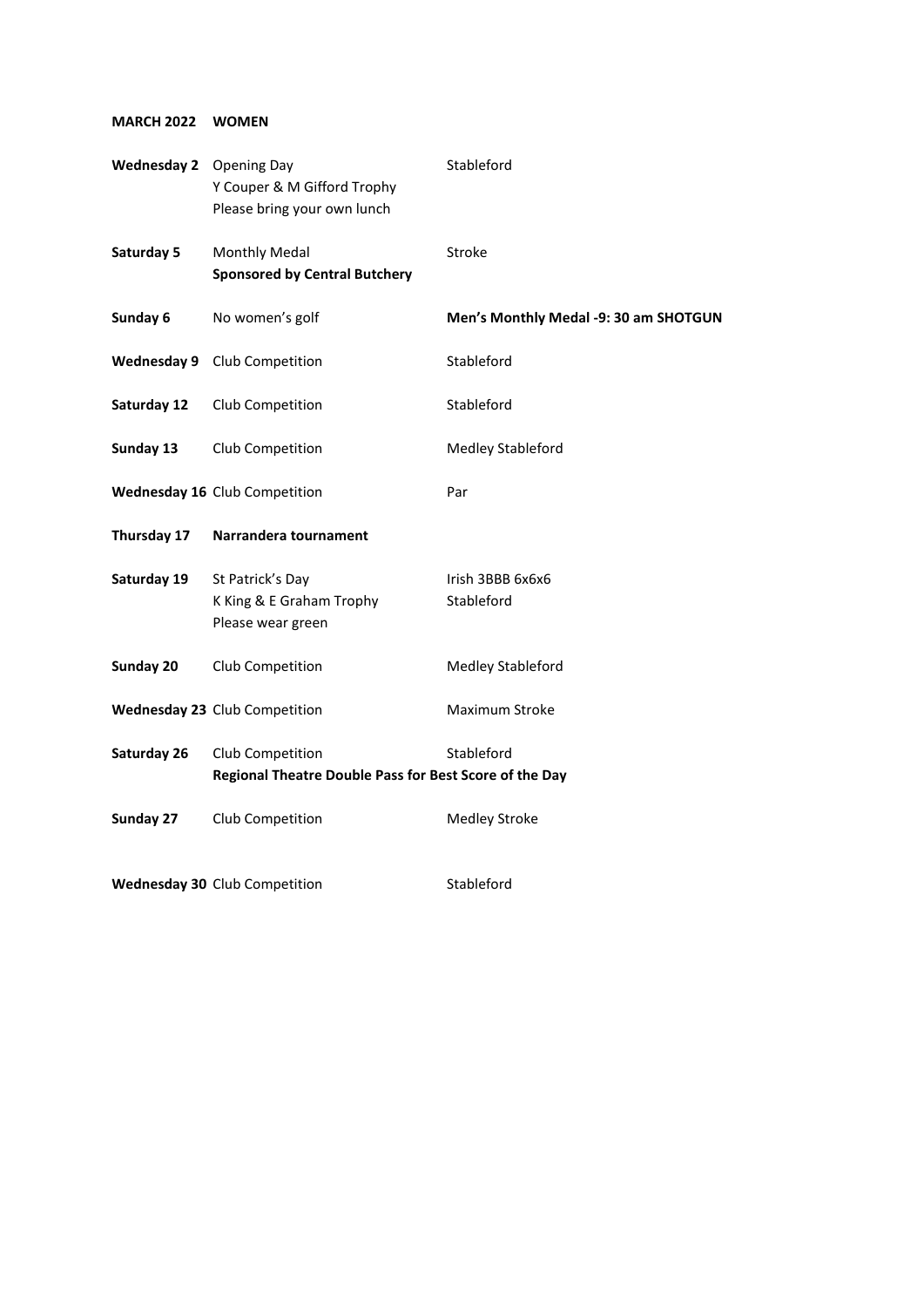## **MARCH 2022 WOMEN**

| Wednesday 2 Opening Day | Y Couper & M Gifford Trophy<br>Please bring your own lunch                 | Stableford                            |
|-------------------------|----------------------------------------------------------------------------|---------------------------------------|
| Saturday 5              | <b>Monthly Medal</b><br><b>Sponsored by Central Butchery</b>               | Stroke                                |
| Sunday 6                | No women's golf                                                            | Men's Monthly Medal -9: 30 am SHOTGUN |
| <b>Wednesday 9</b>      | Club Competition                                                           | Stableford                            |
| Saturday 12             | Club Competition                                                           | Stableford                            |
| Sunday 13               | Club Competition                                                           | <b>Medley Stableford</b>              |
|                         | Wednesday 16 Club Competition                                              | Par                                   |
| Thursday 17             | Narrandera tournament                                                      |                                       |
| Saturday 19             | St Patrick's Day<br>K King & E Graham Trophy<br>Please wear green          | Irish 3BBB 6x6x6<br>Stableford        |
| Sunday 20               | Club Competition                                                           | Medley Stableford                     |
|                         | Wednesday 23 Club Competition                                              | Maximum Stroke                        |
| Saturday 26             | Club Competition<br>Regional Theatre Double Pass for Best Score of the Day | Stableford                            |
| Sunday 27               | Club Competition                                                           | <b>Medley Stroke</b>                  |
|                         | Wednesday 30 Club Competition                                              | Stableford                            |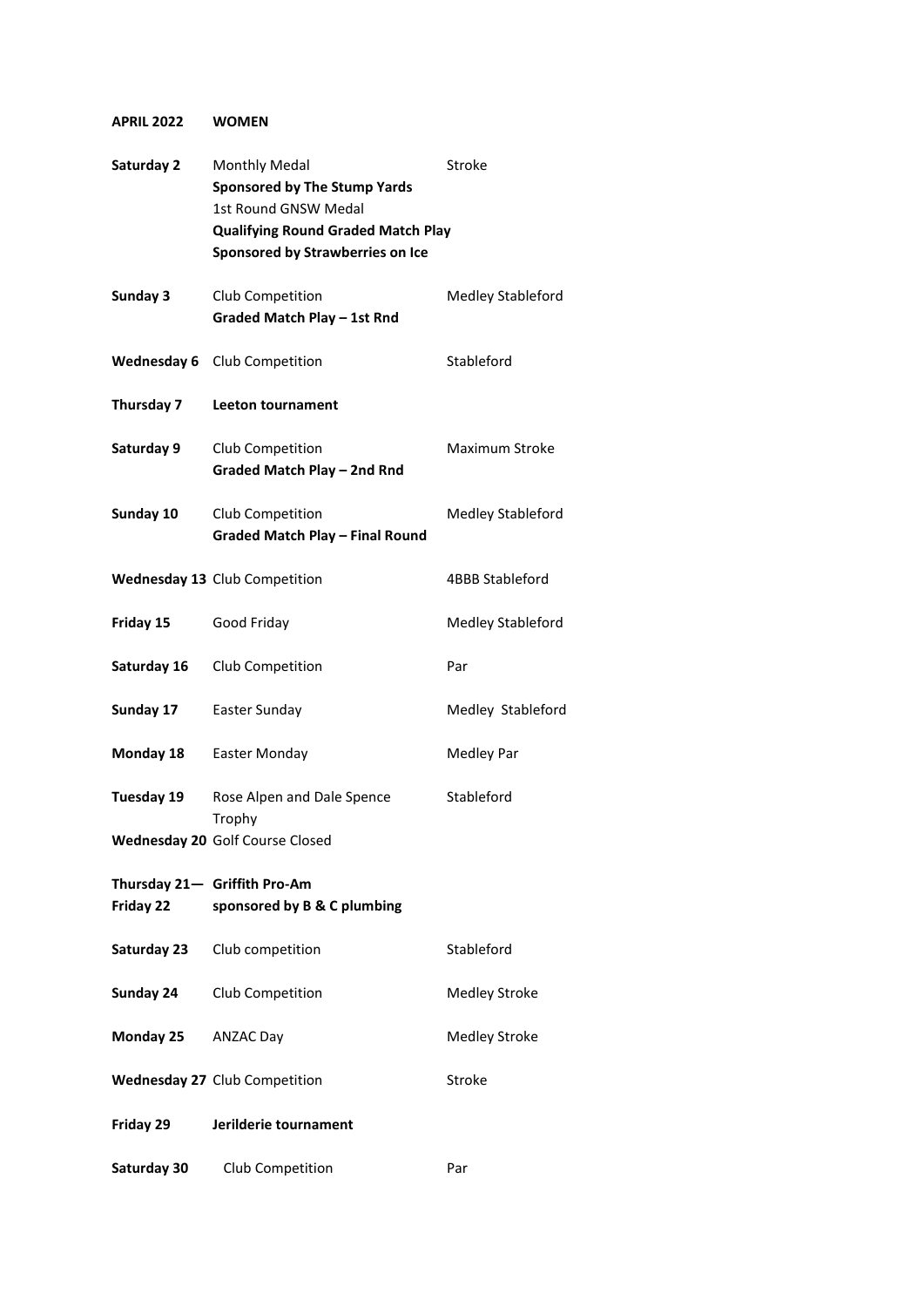## **APRIL 2022 WOMEN**

| Saturday 2  | Monthly Medal<br><b>Sponsored by The Stump Yards</b><br><b>1st Round GNSW Medal</b><br><b>Qualifying Round Graded Match Play</b><br>Sponsored by Strawberries on Ice | Stroke               |
|-------------|----------------------------------------------------------------------------------------------------------------------------------------------------------------------|----------------------|
| Sunday 3    | Club Competition<br>Graded Match Play - 1st Rnd                                                                                                                      | Medley Stableford    |
| Wednesday 6 | Club Competition                                                                                                                                                     | Stableford           |
| Thursday 7  | Leeton tournament                                                                                                                                                    |                      |
| Saturday 9  | Club Competition<br><b>Graded Match Play - 2nd Rnd</b>                                                                                                               | Maximum Stroke       |
| Sunday 10   | Club Competition<br><b>Graded Match Play - Final Round</b>                                                                                                           | Medley Stableford    |
|             | Wednesday 13 Club Competition                                                                                                                                        | 4BBB Stableford      |
| Friday 15   | Good Friday                                                                                                                                                          | Medley Stableford    |
| Saturday 16 | Club Competition                                                                                                                                                     | Par                  |
| Sunday 17   | Easter Sunday                                                                                                                                                        | Medley Stableford    |
| Monday 18   | Easter Monday                                                                                                                                                        | <b>Medley Par</b>    |
| Tuesday 19  | Rose Alpen and Dale Spence<br>Trophy<br>Wednesday 20 Golf Course Closed                                                                                              | Stableford           |
| Friday 22   | Thursday 21- Griffith Pro-Am<br>sponsored by B & C plumbing                                                                                                          |                      |
| Saturday 23 | Club competition                                                                                                                                                     | Stableford           |
| Sunday 24   | Club Competition                                                                                                                                                     | <b>Medley Stroke</b> |
| Monday 25   | <b>ANZAC Day</b>                                                                                                                                                     | <b>Medley Stroke</b> |
|             | <b>Wednesday 27 Club Competition</b>                                                                                                                                 | Stroke               |
| Friday 29   | Jerilderie tournament                                                                                                                                                |                      |
| Saturday 30 | Club Competition                                                                                                                                                     | Par                  |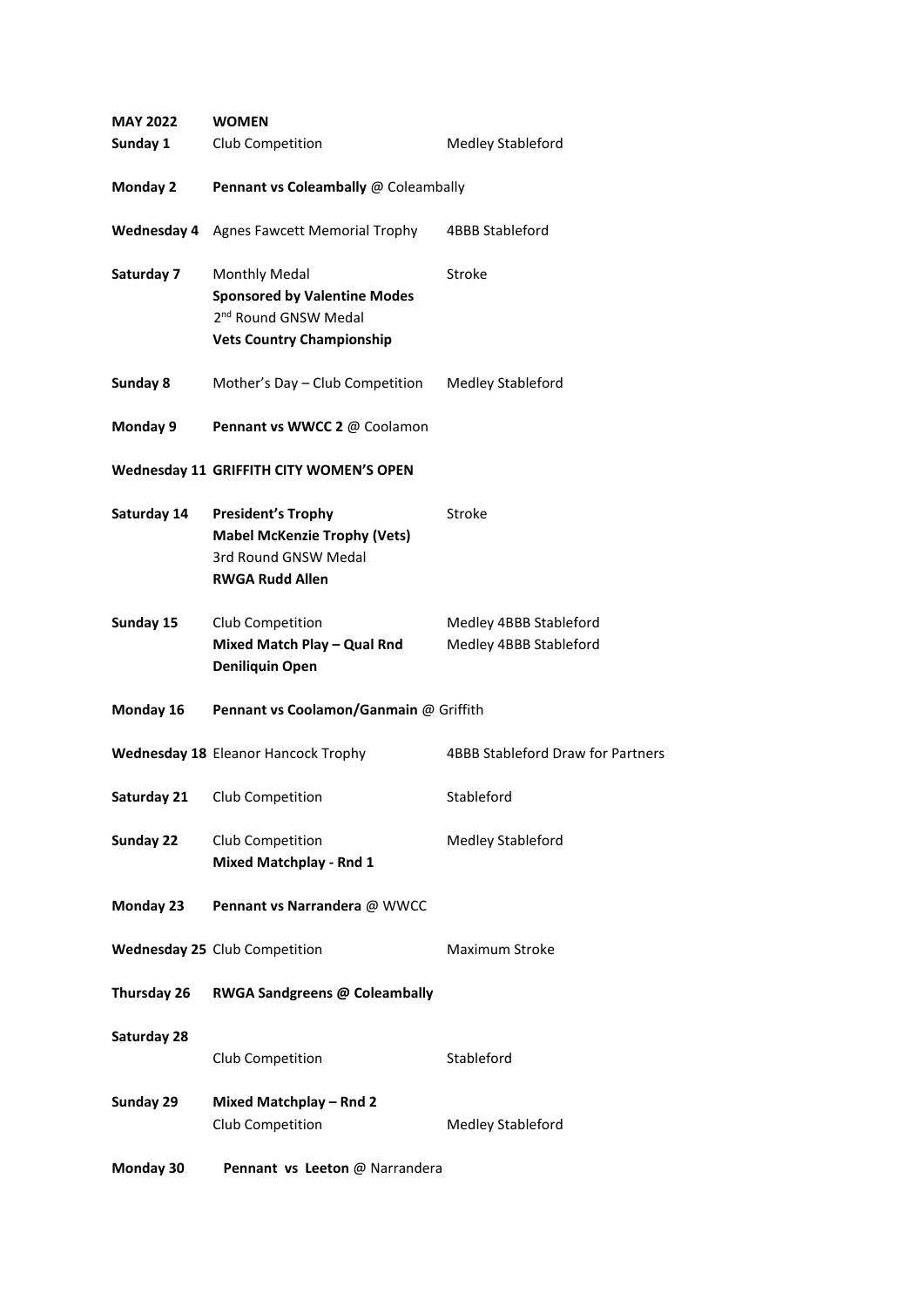| <b>MAY 2022</b> | <b>WOMEN</b>                                                                                                                 |                                                  |
|-----------------|------------------------------------------------------------------------------------------------------------------------------|--------------------------------------------------|
| Sunday 1        | Club Competition                                                                                                             | Medley Stableford                                |
| <b>Monday 2</b> | Pennant vs Coleambally @ Coleambally                                                                                         |                                                  |
|                 | <b>Wednesday 4</b> Agnes Fawcett Memorial Trophy                                                                             | 4BBB Stableford                                  |
| Saturday 7      | Monthly Medal<br><b>Sponsored by Valentine Modes</b><br>2 <sup>nd</sup> Round GNSW Medal<br><b>Vets Country Championship</b> | Stroke                                           |
| Sunday 8        | Mother's Day - Club Competition                                                                                              | <b>Medley Stableford</b>                         |
| Monday 9        | Pennant vs WWCC 2 @ Coolamon                                                                                                 |                                                  |
|                 | Wednesday 11 GRIFFITH CITY WOMEN'S OPEN                                                                                      |                                                  |
| Saturday 14     | <b>President's Trophy</b><br><b>Mabel McKenzie Trophy (Vets)</b><br>3rd Round GNSW Medal<br><b>RWGA Rudd Allen</b>           | Stroke                                           |
| Sunday 15       | Club Competition<br>Mixed Match Play - Qual Rnd<br><b>Deniliquin Open</b>                                                    | Medley 4BBB Stableford<br>Medley 4BBB Stableford |
| Monday 16       | Pennant vs Coolamon/Ganmain @ Griffith                                                                                       |                                                  |
|                 | <b>Wednesday 18 Eleanor Hancock Trophy</b>                                                                                   | 4BBB Stableford Draw for Partners                |
| Saturday 21     | Club Competition                                                                                                             | Stableford                                       |
| Sunday 22       | Club Competition<br><b>Mixed Matchplay - Rnd 1</b>                                                                           | Medley Stableford                                |
| Monday 23       | Pennant vs Narrandera @ WWCC                                                                                                 |                                                  |
|                 | Wednesday 25 Club Competition                                                                                                | <b>Maximum Stroke</b>                            |
| Thursday 26     | <b>RWGA Sandgreens @ Coleambally</b>                                                                                         |                                                  |
| Saturday 28     | Club Competition                                                                                                             | Stableford                                       |
| Sunday 29       | Mixed Matchplay - Rnd 2<br>Club Competition                                                                                  | Medley Stableford                                |
| Monday 30       | Pennant vs Leeton @ Narrandera                                                                                               |                                                  |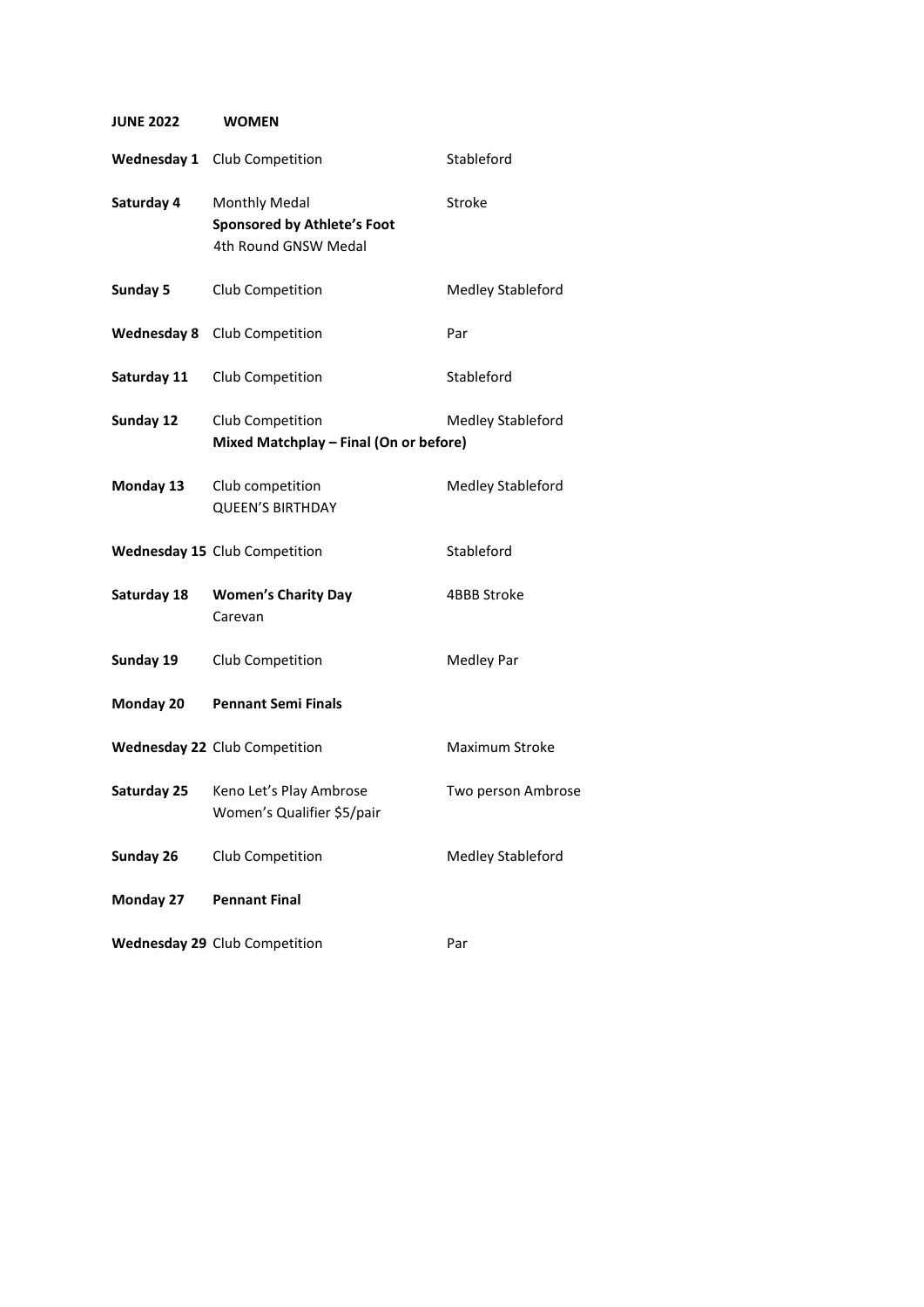**JUNE 2022 WOMEN**

|             | <b>Wednesday 1</b> Club Competition                                                | Stableford         |
|-------------|------------------------------------------------------------------------------------|--------------------|
| Saturday 4  | <b>Monthly Medal</b><br><b>Sponsored by Athlete's Foot</b><br>4th Round GNSW Medal | Stroke             |
| Sunday 5    | Club Competition                                                                   | Medley Stableford  |
|             | Wednesday 8 Club Competition                                                       | Par                |
| Saturday 11 | Club Competition                                                                   | Stableford         |
| Sunday 12   | Club Competition<br>Mixed Matchplay - Final (On or before)                         | Medley Stableford  |
| Monday 13   | Club competition<br><b>QUEEN'S BIRTHDAY</b>                                        | Medley Stableford  |
|             | <b>Wednesday 15 Club Competition</b>                                               | Stableford         |
| Saturday 18 | <b>Women's Charity Day</b><br>Carevan                                              | 4BBB Stroke        |
| Sunday 19   | Club Competition                                                                   | Medley Par         |
| Monday 20   | <b>Pennant Semi Finals</b>                                                         |                    |
|             | Wednesday 22 Club Competition                                                      | Maximum Stroke     |
| Saturday 25 | Keno Let's Play Ambrose<br>Women's Qualifier \$5/pair                              | Two person Ambrose |
| Sunday 26   | Club Competition                                                                   | Medley Stableford  |
| Monday 27   | <b>Pennant Final</b>                                                               |                    |
|             | <b>Wednesday 29 Club Competition</b>                                               | Par                |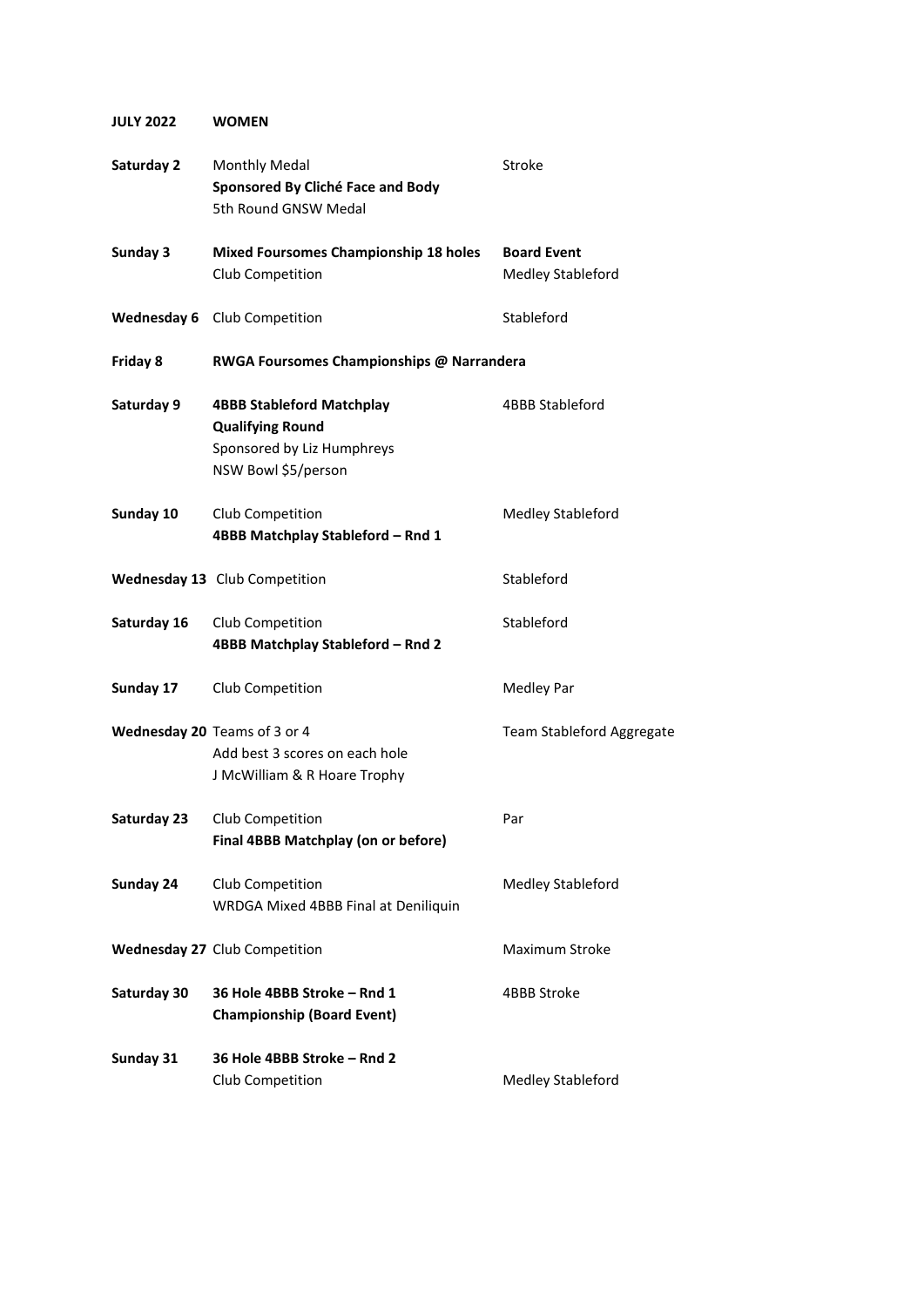## **JULY 2022 WOMEN**

| Saturday 2  | <b>Monthly Medal</b><br>Sponsored By Cliché Face and Body<br>5th Round GNSW Medal                                | Stroke                                  |
|-------------|------------------------------------------------------------------------------------------------------------------|-----------------------------------------|
| Sunday 3    | <b>Mixed Foursomes Championship 18 holes</b><br>Club Competition                                                 | <b>Board Event</b><br>Medley Stableford |
|             | Wednesday 6 Club Competition                                                                                     | Stableford                              |
| Friday 8    | RWGA Foursomes Championships @ Narrandera                                                                        |                                         |
| Saturday 9  | <b>4BBB Stableford Matchplay</b><br><b>Qualifying Round</b><br>Sponsored by Liz Humphreys<br>NSW Bowl \$5/person | <b>4BBB Stableford</b>                  |
| Sunday 10   | Club Competition<br>4BBB Matchplay Stableford - Rnd 1                                                            | Medley Stableford                       |
|             | Wednesday 13 Club Competition                                                                                    | Stableford                              |
| Saturday 16 | Club Competition<br>4BBB Matchplay Stableford - Rnd 2                                                            | Stableford                              |
| Sunday 17   | Club Competition                                                                                                 | <b>Medley Par</b>                       |
|             | Wednesday 20 Teams of 3 or 4<br>Add best 3 scores on each hole<br>J McWilliam & R Hoare Trophy                   | Team Stableford Aggregate               |
| Saturday 23 | Club Competition<br>Final 4BBB Matchplay (on or before)                                                          | Par                                     |
| Sunday 24   | Club Competition<br>WRDGA Mixed 4BBB Final at Deniliquin                                                         | Medley Stableford                       |
|             | <b>Wednesday 27 Club Competition</b>                                                                             | Maximum Stroke                          |
| Saturday 30 | 36 Hole 4BBB Stroke - Rnd 1<br><b>Championship (Board Event)</b>                                                 | 4BBB Stroke                             |
| Sunday 31   | 36 Hole 4BBB Stroke - Rnd 2<br>Club Competition                                                                  | Medley Stableford                       |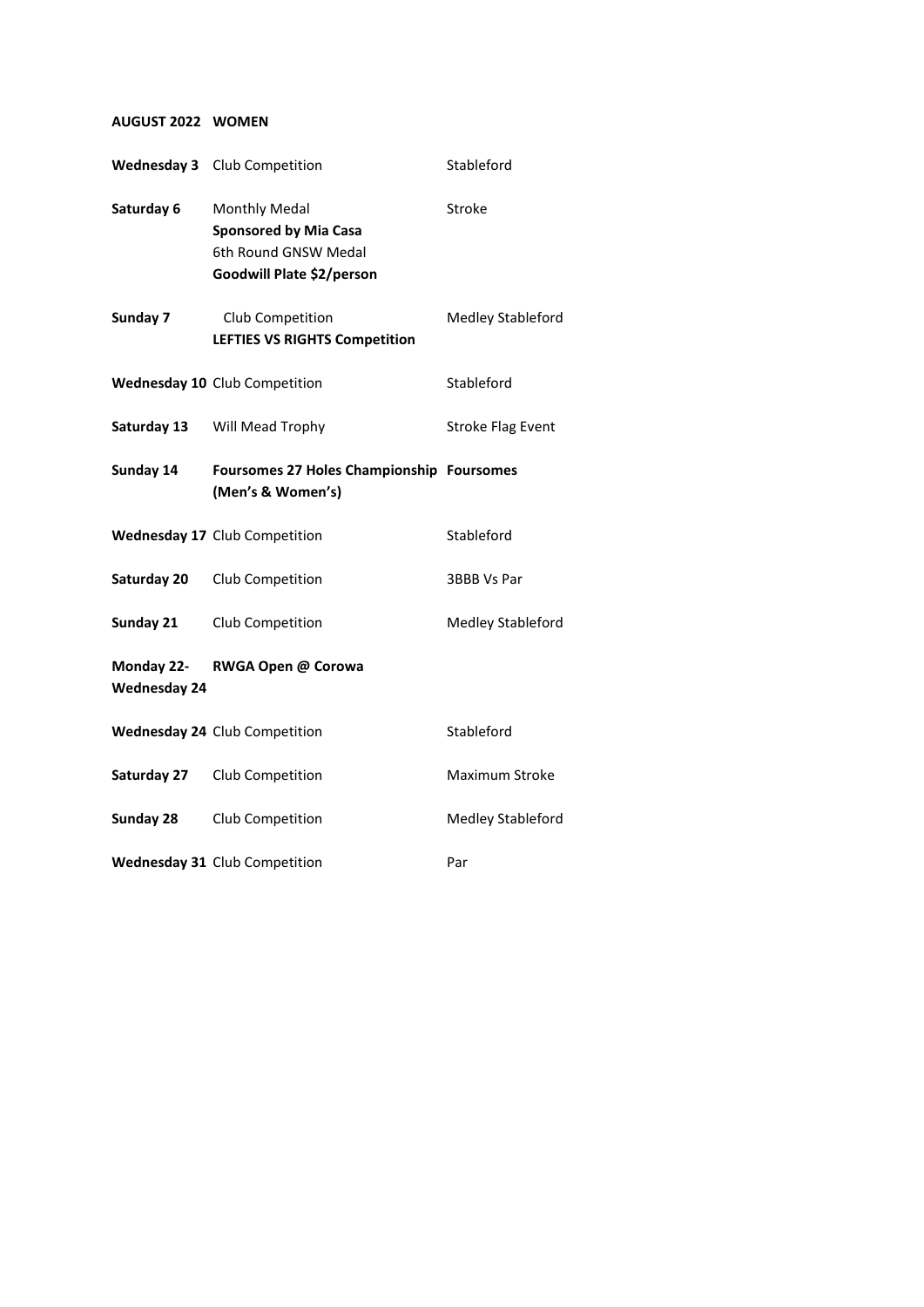#### **AUGUST 2022 WOMEN**

|                                   | Wednesday 3 Club Competition                                                                       | Stableford               |
|-----------------------------------|----------------------------------------------------------------------------------------------------|--------------------------|
| Saturday 6                        | Monthly Medal<br><b>Sponsored by Mia Casa</b><br>6th Round GNSW Medal<br>Goodwill Plate \$2/person | Stroke                   |
| Sunday 7                          | Club Competition<br><b>LEFTIES VS RIGHTS Competition</b>                                           | Medley Stableford        |
|                                   | Wednesday 10 Club Competition                                                                      | Stableford               |
| Saturday 13                       | Will Mead Trophy                                                                                   | <b>Stroke Flag Event</b> |
| Sunday 14                         | Foursomes 27 Holes Championship Foursomes<br>(Men's & Women's)                                     |                          |
|                                   | Wednesday 17 Club Competition                                                                      | Stableford               |
| Saturday 20                       | Club Competition                                                                                   | 3BBB Vs Par              |
| Sunday 21                         | Club Competition                                                                                   | Medley Stableford        |
| Monday 22-<br><b>Wednesday 24</b> | RWGA Open @ Corowa                                                                                 |                          |
|                                   | <b>Wednesday 24 Club Competition</b>                                                               | Stableford               |
| Saturday 27                       | Club Competition                                                                                   | Maximum Stroke           |
| Sunday 28                         | Club Competition                                                                                   | Medley Stableford        |
|                                   | Wednesday 31 Club Competition                                                                      | Par                      |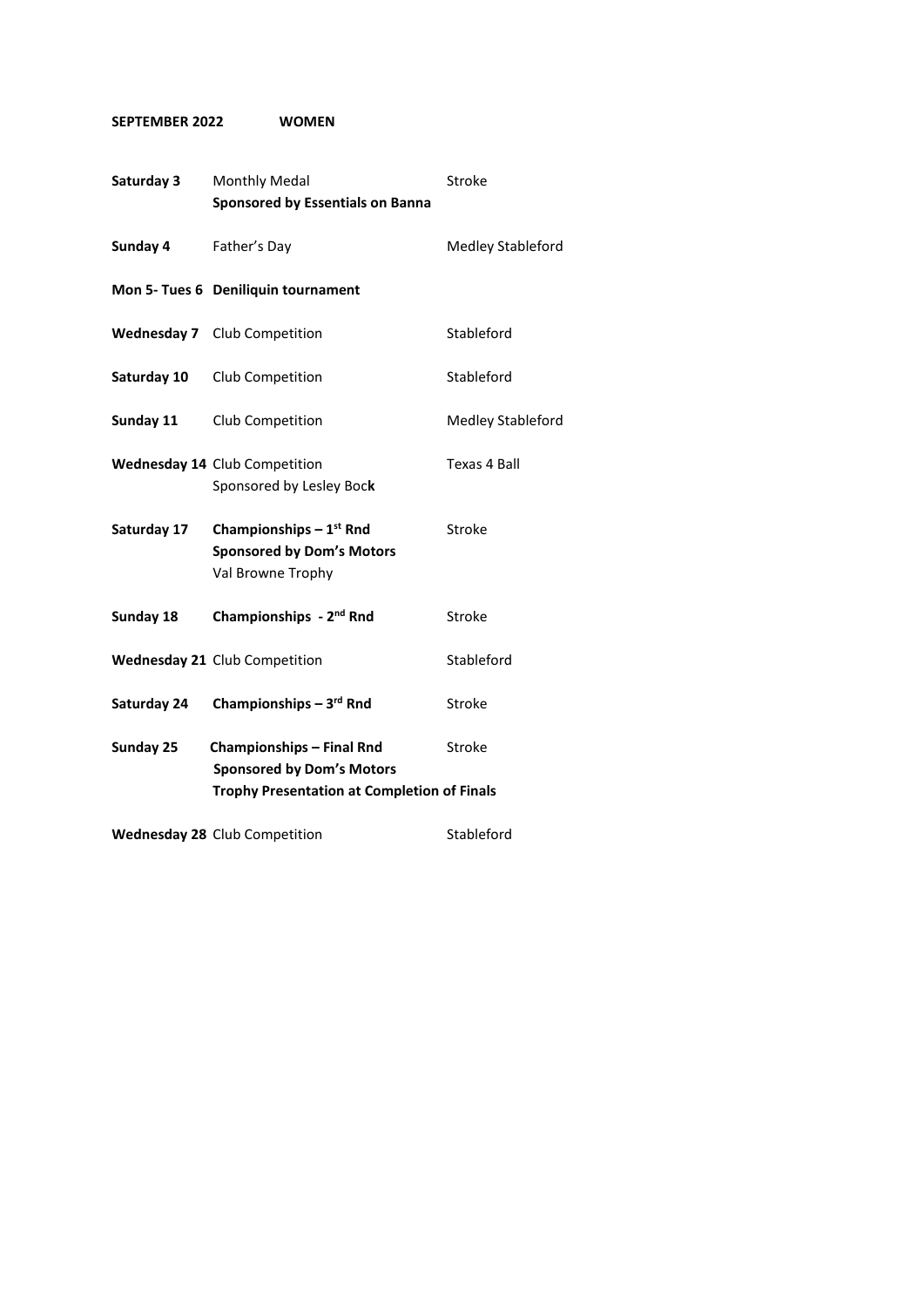### **SEPTEMBER 2022 WOMEN**

| Saturday 3  | Monthly Medal<br><b>Sponsored by Essentials on Banna</b>                          | Stroke                   |
|-------------|-----------------------------------------------------------------------------------|--------------------------|
| Sunday 4    | Father's Day                                                                      | <b>Medley Stableford</b> |
|             | Mon 5- Tues 6 Deniliquin tournament                                               |                          |
|             | <b>Wednesday 7</b> Club Competition                                               | Stableford               |
| Saturday 10 | Club Competition                                                                  | Stableford               |
| Sunday 11   | Club Competition                                                                  | <b>Medley Stableford</b> |
|             | <b>Wednesday 14 Club Competition</b><br>Sponsored by Lesley Bock                  | Texas 4 Ball             |
| Saturday 17 | Championships $-1st$ Rnd<br><b>Sponsored by Dom's Motors</b><br>Val Browne Trophy | Stroke                   |
| Sunday 18   | Championships - 2 <sup>nd</sup> Rnd                                               | Stroke                   |
|             | Wednesday 21 Club Competition                                                     | Stableford               |
| Saturday 24 | Championships $-3^{rd}$ Rnd                                                       | Stroke                   |
| Sunday 25   | <b>Championships - Final Rnd</b><br><b>Sponsored by Dom's Motors</b>              | Stroke                   |
|             | <b>Trophy Presentation at Completion of Finals</b>                                |                          |
|             | Wednesday 28 Club Competition                                                     | Stableford               |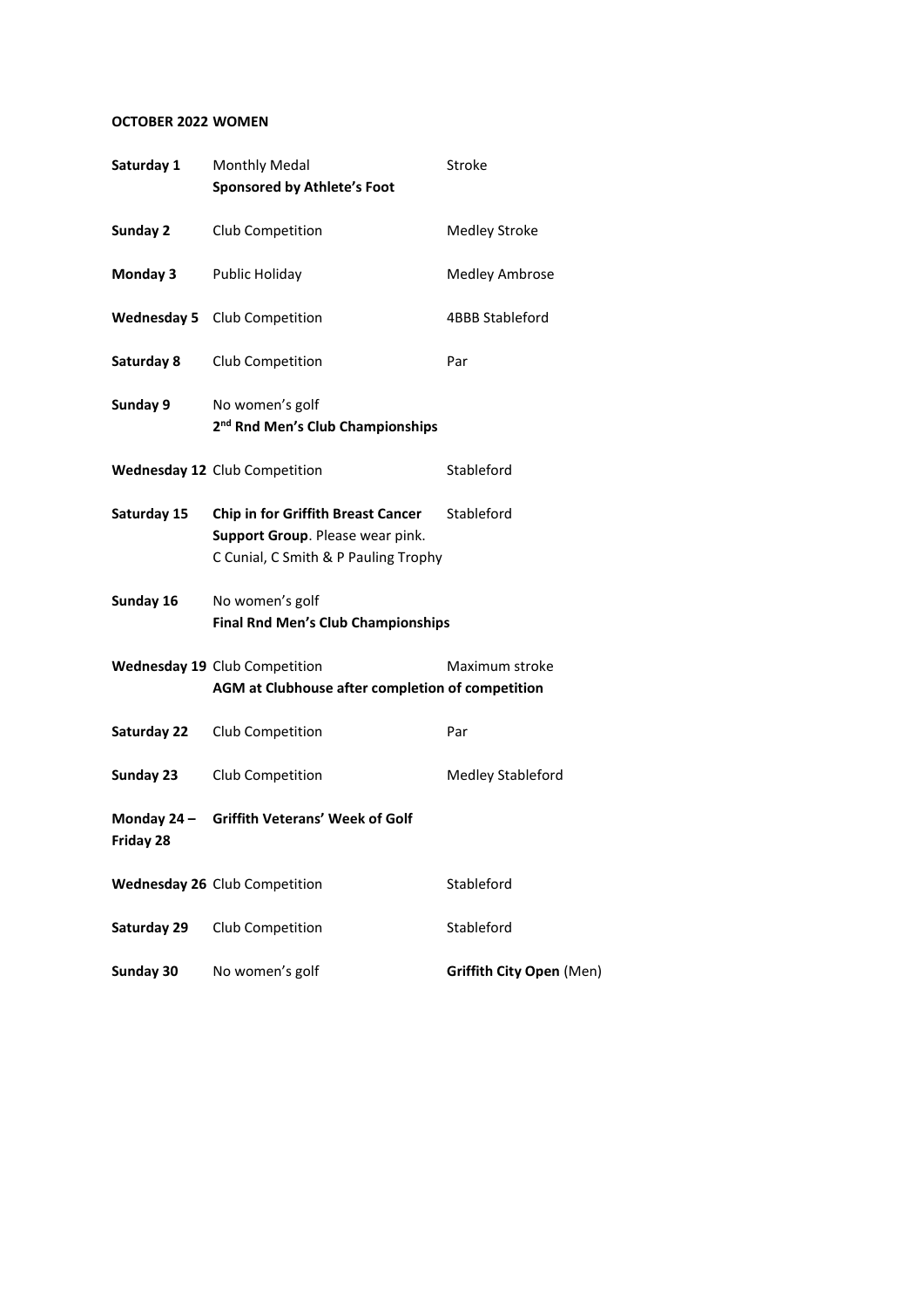## **OCTOBER 2022 WOMEN**

| Saturday 1  | Monthly Medal<br><b>Sponsored by Athlete's Foot</b>                                                                   | Stroke                   |
|-------------|-----------------------------------------------------------------------------------------------------------------------|--------------------------|
| Sunday 2    | Club Competition                                                                                                      | <b>Medley Stroke</b>     |
| Monday 3    | Public Holiday                                                                                                        | <b>Medley Ambrose</b>    |
|             | <b>Wednesday 5</b> Club Competition                                                                                   | 4BBB Stableford          |
| Saturday 8  | Club Competition                                                                                                      | Par                      |
| Sunday 9    | No women's golf<br>2 <sup>nd</sup> Rnd Men's Club Championships                                                       |                          |
|             | Wednesday 12 Club Competition                                                                                         | Stableford               |
| Saturday 15 | <b>Chip in for Griffith Breast Cancer</b><br>Support Group. Please wear pink.<br>C Cunial, C Smith & P Pauling Trophy | Stableford               |
| Sunday 16   | No women's golf<br><b>Final Rnd Men's Club Championships</b>                                                          |                          |
|             | Wednesday 19 Club Competition<br>AGM at Clubhouse after completion of competition                                     | Maximum stroke           |
| Saturday 22 | Club Competition                                                                                                      | Par                      |
| Sunday 23   | Club Competition                                                                                                      | Medley Stableford        |
| Friday 28   | Monday 24 - Griffith Veterans' Week of Golf                                                                           |                          |
|             | Wednesday 26 Club Competition                                                                                         | Stableford               |
| Saturday 29 | Club Competition                                                                                                      | Stableford               |
| Sunday 30   | No women's golf                                                                                                       | Griffith City Open (Men) |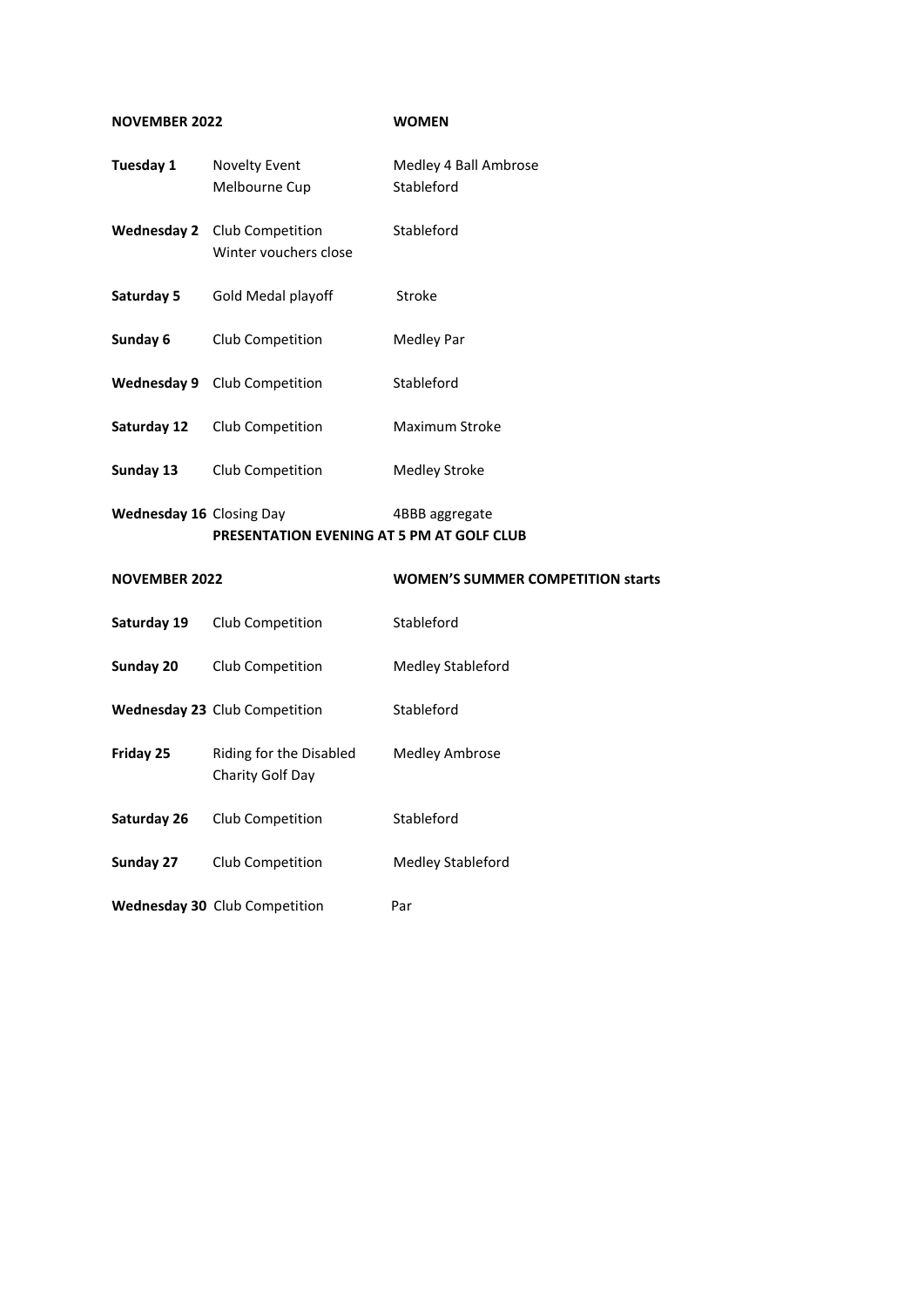### **NOVEMBER 2022 WOMEN**

| Tuesday 1                | <b>Novelty Event</b><br>Melbourne Cup       | Medley 4 Ball Ambrose<br>Stableford      |
|--------------------------|---------------------------------------------|------------------------------------------|
| <b>Wednesday 2</b>       | Club Competition<br>Winter vouchers close   | Stableford                               |
| Saturday 5               | Gold Medal playoff                          | Stroke                                   |
| Sunday 6                 | Club Competition                            | Medley Par                               |
| <b>Wednesday 9</b>       | Club Competition                            | Stableford                               |
| Saturday 12              | Club Competition                            | Maximum Stroke                           |
| Sunday 13                | Club Competition                            | <b>Medley Stroke</b>                     |
| Wednesday 16 Closing Day |                                             | 4BBB aggregate                           |
|                          | PRESENTATION EVENING AT 5 PM AT GOLF CLUB   |                                          |
| <b>NOVEMBER 2022</b>     |                                             | <b>WOMEN'S SUMMER COMPETITION starts</b> |
| Saturday 19              | Club Competition                            | Stableford                               |
| Sunday 20                | Club Competition                            | Medley Stableford                        |
|                          | Wednesday 23 Club Competition               | Stableford                               |
| Friday 25                | Riding for the Disabled<br>Charity Golf Day | <b>Medley Ambrose</b>                    |
| Saturday 26              | Club Competition                            | Stableford                               |
| Sunday 27                | Club Competition                            | Medley Stableford                        |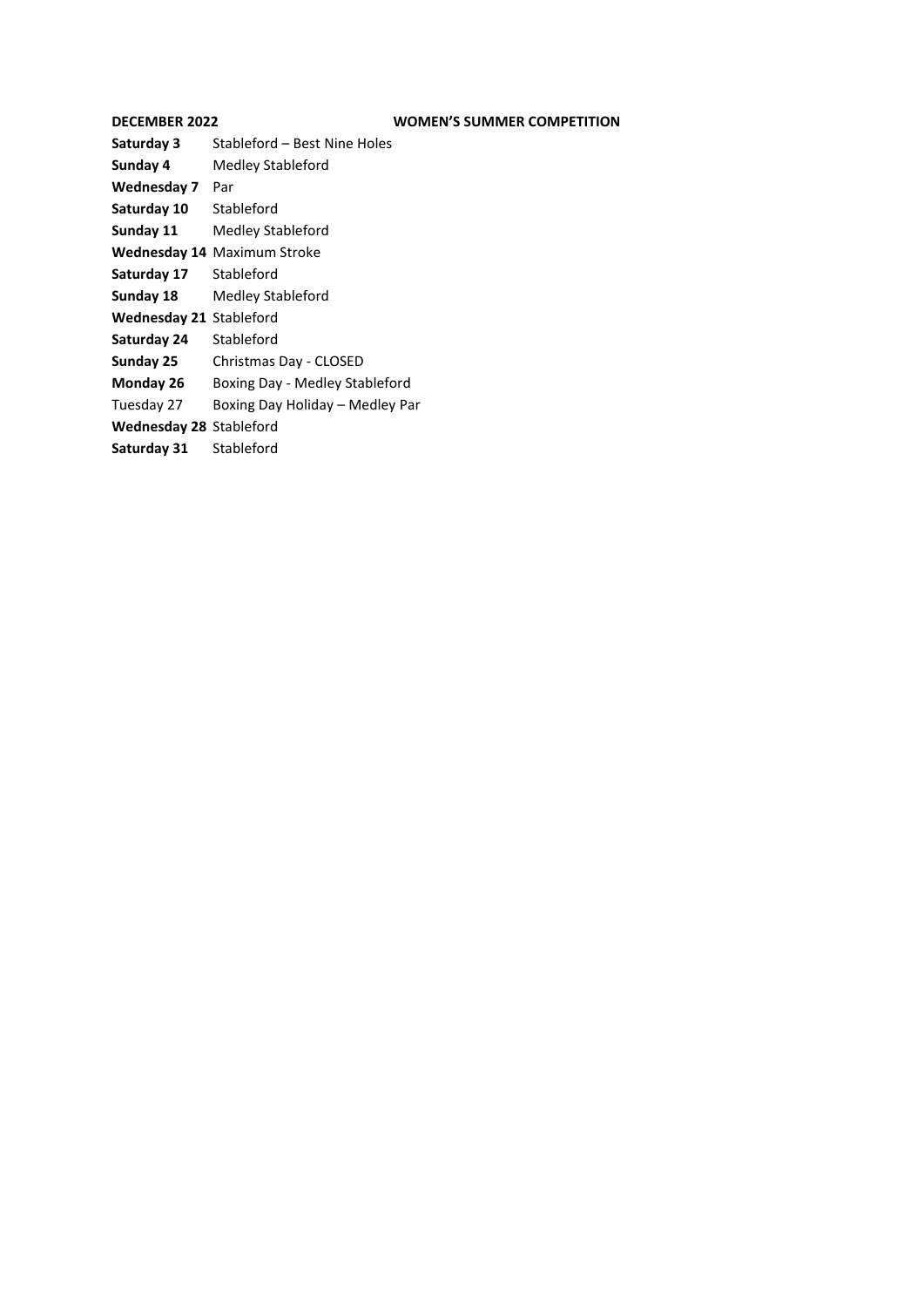| <b>DECEMBER 2022</b>           | <b>WOMEN'S SUMMER COMPETITION</b>  |
|--------------------------------|------------------------------------|
| Saturday 3                     | Stableford – Best Nine Holes       |
| Sunday 4                       | Medley Stableford                  |
| Wednesday 7                    | Par                                |
| Saturday 10                    | Stableford                         |
| Sunday 11                      | Medley Stableford                  |
|                                | <b>Wednesday 14 Maximum Stroke</b> |
| Saturday 17                    | Stableford                         |
| Sunday 18                      | Medley Stableford                  |
| <b>Wednesday 21 Stableford</b> |                                    |
| Saturday 24                    | Stableford                         |
| Sunday 25                      | Christmas Day - CLOSED             |
| Monday 26                      | Boxing Day - Medley Stableford     |
| Tuesday 27                     | Boxing Day Holiday – Medley Par    |
| <b>Wednesday 28 Stableford</b> |                                    |
| Saturday 31                    | Stableford                         |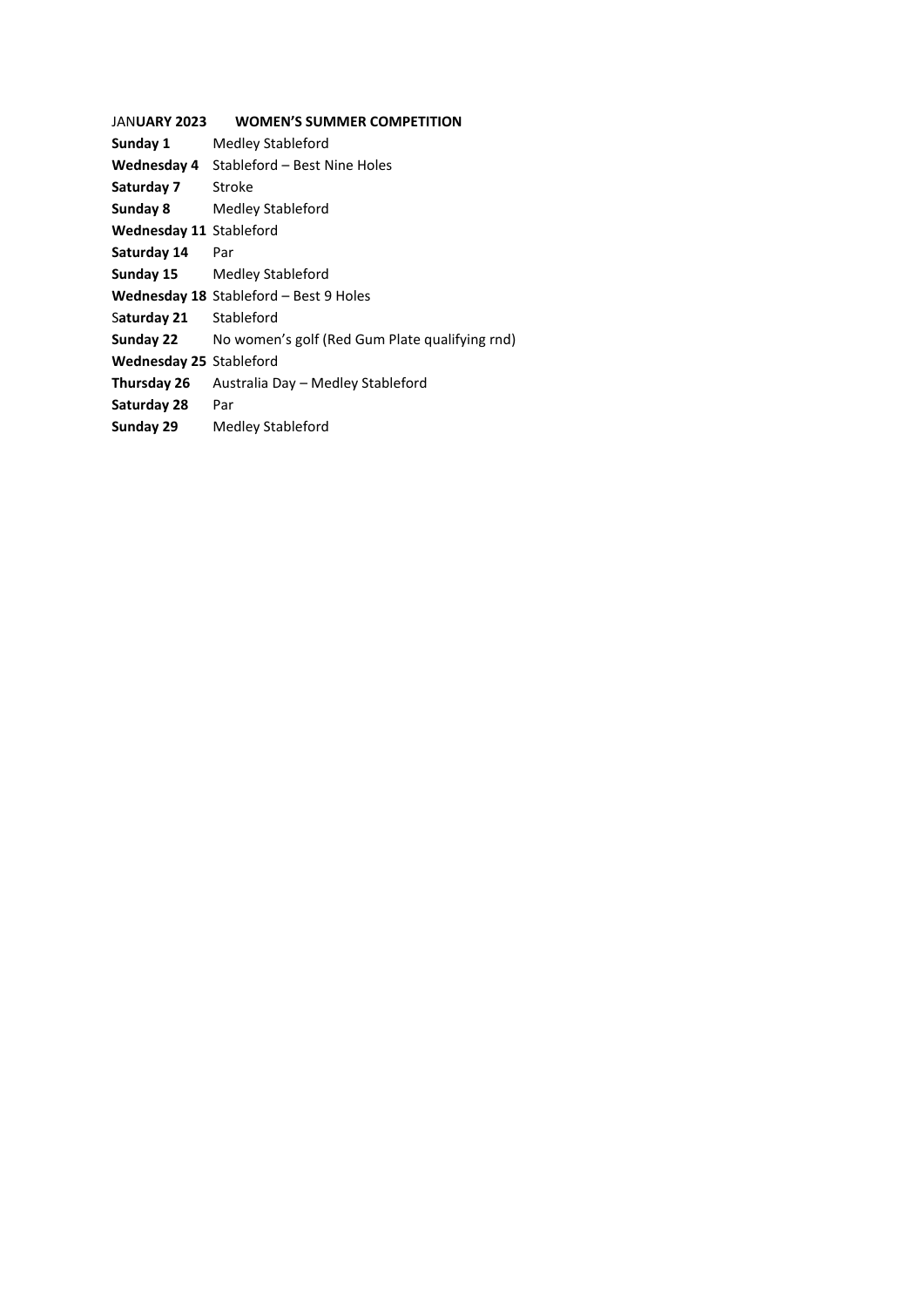| <b>JANUARY 2023</b>            | <b>WOMEN'S SUMMER COMPETITION</b>              |
|--------------------------------|------------------------------------------------|
| Sunday 1                       | Medley Stableford                              |
| Wednesday 4                    | Stableford - Best Nine Holes                   |
| Saturday 7                     | Stroke                                         |
| Sunday 8                       | Medley Stableford                              |
| <b>Wednesday 11 Stableford</b> |                                                |
| Saturday 14                    | Par                                            |
| Sunday 15                      | Medley Stableford                              |
|                                | Wednesday 18 Stableford - Best 9 Holes         |
| Saturday 21                    | Stableford                                     |
| Sunday 22                      | No women's golf (Red Gum Plate qualifying rnd) |
| Wednesday 25 Stableford        |                                                |
| Thursday 26                    | Australia Day – Medley Stableford              |
| Saturday 28                    | Par                                            |
| Sunday 29                      | Medley Stableford                              |
|                                |                                                |